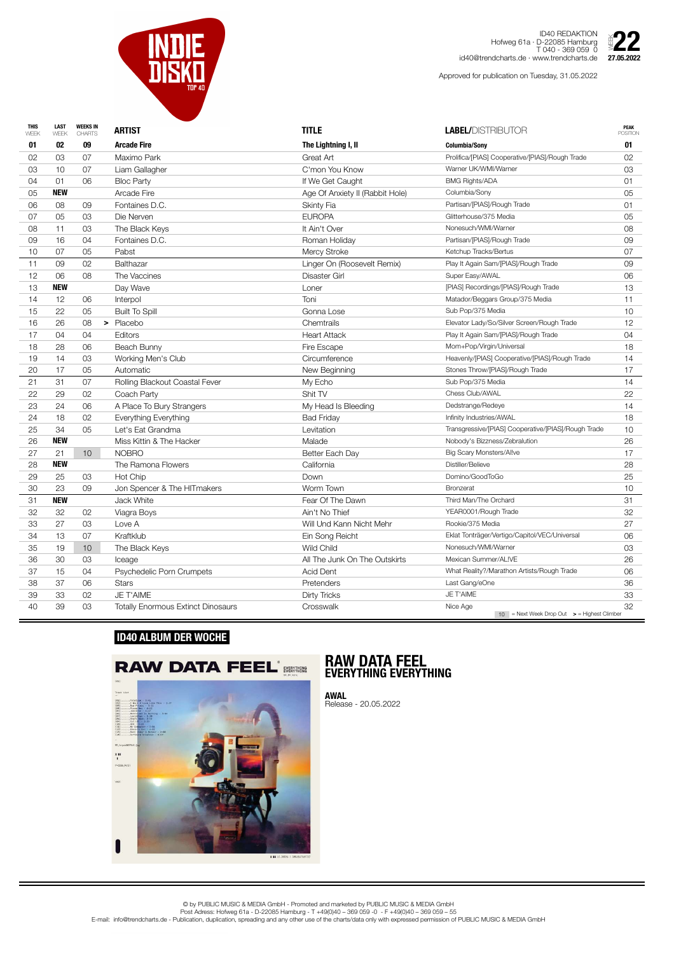

ID40 REDAKTION Hofweg 61a · D-22085 Hamburg T 040 - 369 059 0 id40@trendcharts.de · www.trendcharts.de 27.05.2022

| <b>THIS</b><br>WEEK | <b>LAST</b><br>WEEK | <b>WEEKS IN</b><br><b>CHARTS</b> | <b>ARTIST</b>                             | <b>TITLE</b>                    | <b>LABEL/DISTRIBUTOR</b>                                              | <b>PEAK</b><br><b>POSITION</b> |
|---------------------|---------------------|----------------------------------|-------------------------------------------|---------------------------------|-----------------------------------------------------------------------|--------------------------------|
| 01                  | 02                  | 09                               | <b>Arcade Fire</b>                        | The Lightning I, II             | <b>Columbia/Sony</b>                                                  | 01                             |
| 02                  | 03                  | 07                               | Maximo Park                               | Great Art                       | Prolifica/[PIAS] Cooperative/[PIAS]/Rough Trade                       | 02                             |
| 03                  | 10                  | 07                               | Liam Gallagher                            | C'mon You Know                  | Warner UK/WMI/Warner                                                  | 03                             |
| 04                  | 01                  | 06                               | <b>Bloc Party</b>                         | If We Get Caught                | <b>BMG Rights/ADA</b>                                                 | 01                             |
| 05                  | <b>NEW</b>          |                                  | <b>Arcade Fire</b>                        | Age Of Anxiety II (Rabbit Hole) | Columbia/Sony                                                         | 05                             |
| 06                  | 08                  | 09                               | Fontaines D.C.                            | <b>Skinty Fia</b>               | Partisan/[PIAS]/Rough Trade                                           | 01                             |
| 07                  | 05                  | 03                               | Die Nerven                                | <b>EUROPA</b>                   | Glitterhouse/375 Media                                                | 05                             |
| 08                  | 11                  | 03                               | The Black Keys                            | It Ain't Over                   | Nonesuch/WMI/Warner                                                   | 08                             |
| 09                  | 16                  | 04                               | Fontaines D.C.                            | Roman Holiday                   | Partisan/[PIAS]/Rough Trade                                           | 09                             |
| 10                  | 07                  | 05                               | Pabst                                     | Mercy Stroke                    | Ketchup Tracks/Bertus                                                 | 07                             |
| 11                  | 09                  | 02                               | <b>Balthazar</b>                          | Linger On (Roosevelt Remix)     | Play It Again Sam/[PIAS]/Rough Trade                                  | 09                             |
| 12                  | 06                  | 08                               | The Vaccines                              | <b>Disaster Girl</b>            | Super Easy/AWAL                                                       | 06                             |
| 13                  | <b>NEW</b>          |                                  | Day Wave                                  | Loner                           | [PIAS] Recordings/[PIAS]/Rough Trade                                  | 13                             |
| 14                  | 12                  | 06                               | Interpol                                  | Toni                            | Matador/Beggars Group/375 Media                                       | 11                             |
| 15                  | 22                  | 05                               | <b>Built To Spill</b>                     | Gonna Lose                      | Sub Pop/375 Media                                                     | 10                             |
| 16                  | 26                  | 08                               | > Placebo                                 | Chemtrails                      | Elevator Lady/So/Silver Screen/Rough Trade                            | 12 <sup>°</sup>                |
| 17                  | 04                  | 04                               | Editors                                   | <b>Heart Attack</b>             | Play It Again Sam/[PIAS]/Rough Trade                                  | 04                             |
| 18                  | 28                  | 06                               | Beach Bunny                               | Fire Escape                     | Mom+Pop/Virgin/Universal                                              | 18                             |
| 19                  | 14                  | 03                               | Working Men's Club                        | Circumference                   | Heavenly/[PIAS] Cooperative/[PIAS]/Rough Trade                        | 14                             |
| 20                  | 17                  | 05                               | Automatic                                 | New Beginning                   | Stones Throw/[PIAS]/Rough Trade                                       | 17                             |
| 21                  | 31                  | 07                               | Rolling Blackout Coastal Fever            | My Echo                         | Sub Pop/375 Media                                                     | 14                             |
| 22                  | 29                  | 02                               | Coach Party                               | Shit TV                         | Chess Club/AWAL                                                       | 22                             |
| 23                  | 24                  | 06                               | A Place To Bury Strangers                 | My Head Is Bleeding             | Dedstrange/Redeye                                                     | 14                             |
| 24                  | 18                  | 02                               | Everything Everything                     | <b>Bad Friday</b>               | Infinity Industries/AWAL                                              | 18                             |
| 25                  | 34                  | 05                               | Let's Eat Grandma                         | Levitation                      | Transgressive/[PIAS] Cooperative/[PIAS]/Rough Trade                   | 10                             |
| 26                  | <b>NEW</b>          |                                  | Miss Kittin & The Hacker                  | Malade                          | Nobody's Bizzness/Zebralution                                         | 26                             |
| 27                  | 21                  | 10 <sup>°</sup>                  | <b>NOBRO</b>                              | Better Each Day                 | <b>Big Scary Monsters/Allve</b>                                       | 17                             |
| 28                  | <b>NEW</b>          |                                  | The Ramona Flowers                        | California                      | Distiller/Believe                                                     | 28                             |
| 29                  | 25                  | 03                               | Hot Chip                                  | Down                            | Domino/GoodToGo                                                       | 25                             |
| 30                  | 23                  | 09                               | Jon Spencer & The HITmakers               | Worm Town                       | <b>Bronzerat</b>                                                      | 10                             |
| 31                  | <b>NEW</b>          |                                  | Jack White                                | Fear Of The Dawn                | Third Man/The Orchard                                                 | 31                             |
| 32                  | 32                  | 02                               | Viagra Boys                               | Ain't No Thief                  | YEAR0001/Rough Trade                                                  | 32                             |
| 33                  | 27                  | 03                               | Love A                                    | Will Und Kann Nicht Mehr        | Rookie/375 Media                                                      | 27                             |
| 34                  | 13                  | 07                               | Kraftklub                                 | Ein Song Reicht                 | Eklat Tonträger/Vertigo/Capitol/VEC/Universal                         | 06                             |
| 35                  | 19                  | 10                               | The Black Keys                            | <b>Wild Child</b>               | Nonesuch/WMI/Warner                                                   | 03                             |
| 36                  | 30                  | 03                               | Iceage                                    | All The Junk On The Outskirts   | Mexican Summer/AL!VE                                                  | 26                             |
| 37                  | 15                  | 04                               | <b>Psychedelic Porn Crumpets</b>          | <b>Acid Dent</b>                | What Reality?/Marathon Artists/Rough Trade                            | 06                             |
| 38                  | 37                  | 06                               | <b>Stars</b>                              | Pretenders                      | Last Gang/eOne                                                        | 36                             |
| 39                  | 33                  | 02                               | <b>JE T'AIME</b>                          | <b>Dirty Tricks</b>             | JE T'AIME                                                             | 33                             |
| 40                  | 39                  | 03                               | <b>Totally Enormous Extinct Dinosaurs</b> | Crosswalk                       | Nice Age<br>$10$ = Next Week Drop Out $\rightarrow$ = Highest Climber | 32                             |

Approved for publication on Tuesday, 31.05.2022



## **ID40 ALBUM DER WOCHE**



## **RAW DATA FEEL EVERYTHING EVERYTHING**

**AWAL** Release - 20.05.2022